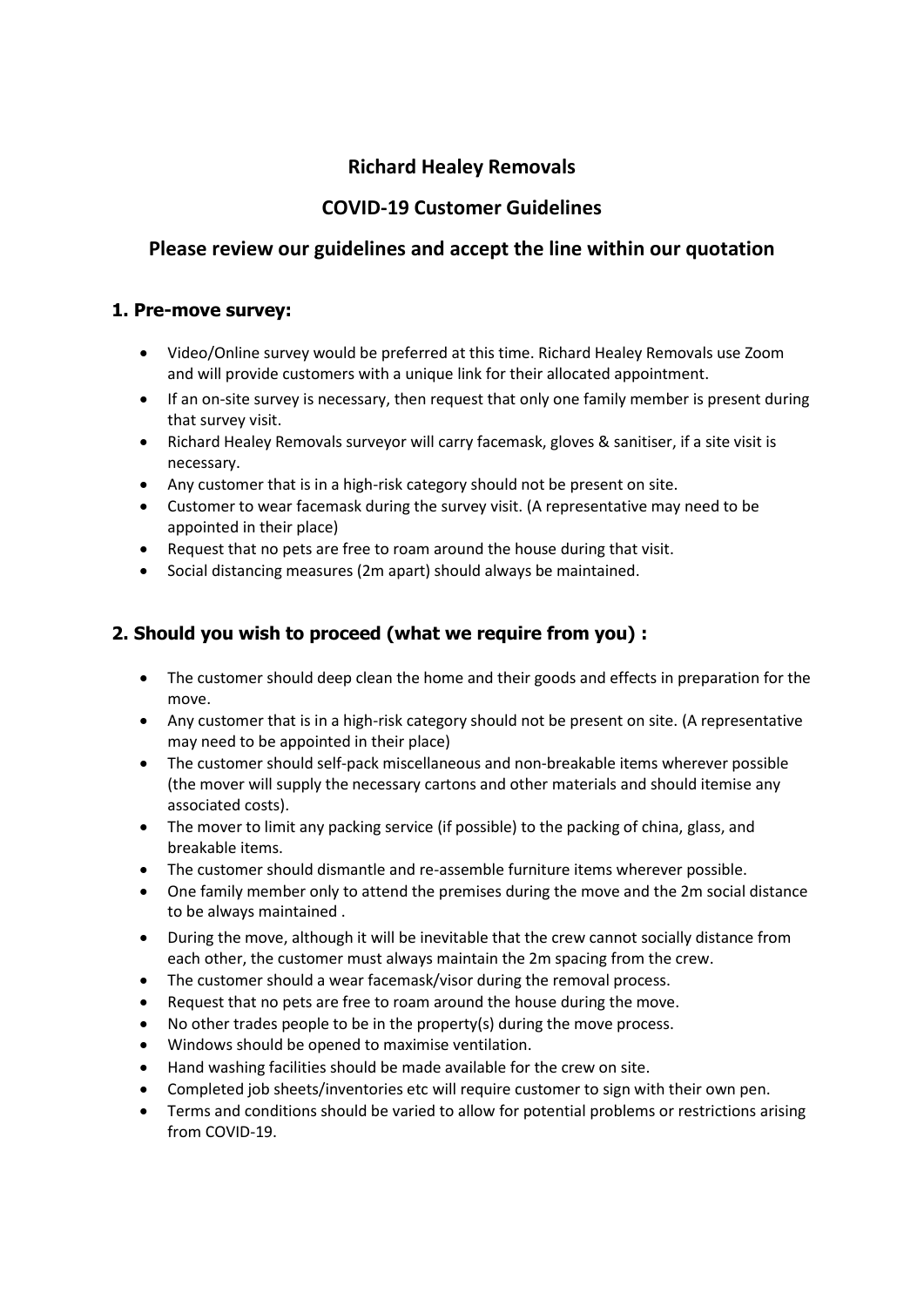# **Richard Healey Removals**

## **COVID-19 Customer Guidelines**

## **Please review our guidelines and accept the line within our quotation**

#### **1. Pre-move survey:**

- Video/Online survey would be preferred at this time. Richard Healey Removals use Zoom and will provide customers with a unique link for their allocated appointment.
- If an on-site survey is necessary, then request that only one family member is present during that survey visit.
- Richard Healey Removals surveyor will carry facemask, gloves & sanitiser, if a site visit is necessary.
- Any customer that is in a high-risk category should not be present on site.
- Customer to wear facemask during the survey visit. (A representative may need to be appointed in their place)
- Request that no pets are free to roam around the house during that visit.
- Social distancing measures (2m apart) should always be maintained.

### **2. Should you wish to proceed (what we require from you) :**

- The customer should deep clean the home and their goods and effects in preparation for the move.
- Any customer that is in a high-risk category should not be present on site. (A representative may need to be appointed in their place)
- The customer should self-pack miscellaneous and non-breakable items wherever possible (the mover will supply the necessary cartons and other materials and should itemise any associated costs).
- The mover to limit any packing service (if possible) to the packing of china, glass, and breakable items.
- The customer should dismantle and re-assemble furniture items wherever possible.
- One family member only to attend the premises during the move and the 2m social distance to be always maintained .
- During the move, although it will be inevitable that the crew cannot socially distance from each other, the customer must always maintain the 2m spacing from the crew.
- The customer should a wear facemask/visor during the removal process.
- Request that no pets are free to roam around the house during the move.
- No other trades people to be in the property(s) during the move process.
- Windows should be opened to maximise ventilation.
- Hand washing facilities should be made available for the crew on site.
- Completed job sheets/inventories etc will require customer to sign with their own pen.
- Terms and conditions should be varied to allow for potential problems or restrictions arising from COVID-19.